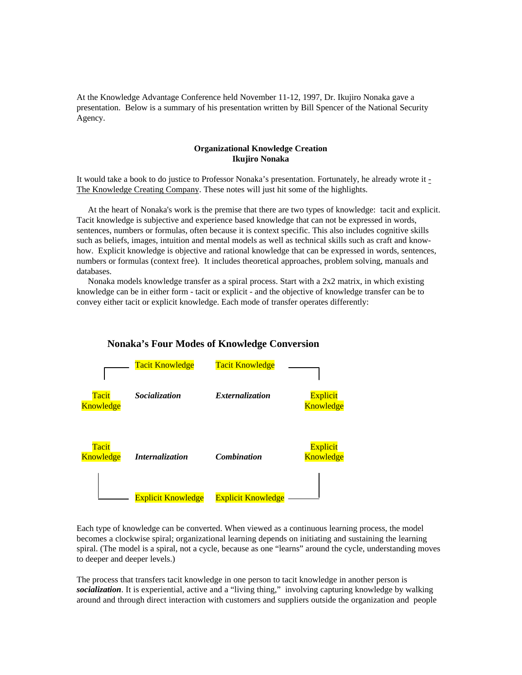At the Knowledge Advantage Conference held November 11-12, 1997, Dr. Ikujiro Nonaka gave a presentation. Below is a summary of his presentation written by Bill Spencer of the National Security Agency.

## **Organizational Knowledge Creation Ikujiro Nonaka**

It would take a book to do justice to Professor Nonaka's presentation. Fortunately, he already wrote it - The Knowledge Creating Company. These notes will just hit some of the highlights.

 At the heart of Nonaka's work is the premise that there are two types of knowledge: tacit and explicit. Tacit knowledge is subjective and experience based knowledge that can not be expressed in words, sentences, numbers or formulas, often because it is context specific. This also includes cognitive skills such as beliefs, images, intuition and mental models as well as technical skills such as craft and knowhow. Explicit knowledge is objective and rational knowledge that can be expressed in words, sentences, numbers or formulas (context free). It includes theoretical approaches, problem solving, manuals and databases.

 Nonaka models knowledge transfer as a spiral process. Start with a 2x2 matrix, in which existing knowledge can be in either form - tacit or explicit - and the objective of knowledge transfer can be to convey either tacit or explicit knowledge. Each mode of transfer operates differently:



## **Nonaka's Four Modes of Knowledge Conversion**

Each type of knowledge can be converted. When viewed as a continuous learning process, the model becomes a clockwise spiral; organizational learning depends on initiating and sustaining the learning spiral. (The model is a spiral, not a cycle, because as one "learns" around the cycle, understanding moves to deeper and deeper levels.)

The process that transfers tacit knowledge in one person to tacit knowledge in another person is *socialization*. It is experiential, active and a "living thing," involving capturing knowledge by walking around and through direct interaction with customers and suppliers outside the organization and people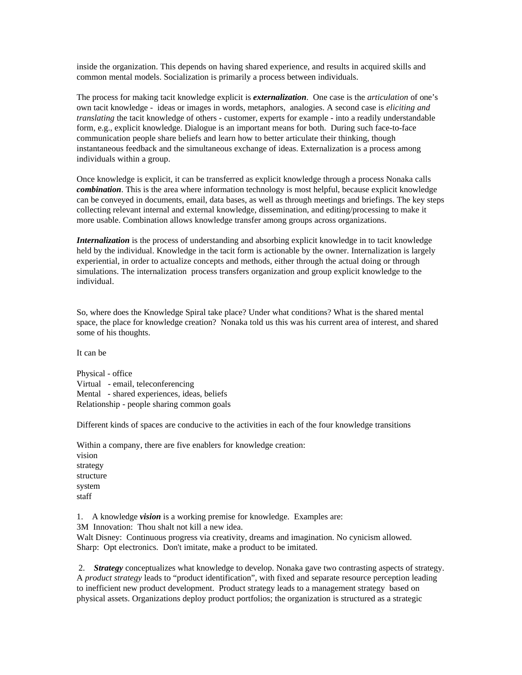inside the organization. This depends on having shared experience, and results in acquired skills and common mental models. Socialization is primarily a process between individuals.

The process for making tacit knowledge explicit is *externalization*. One case is the *articulation* of one's own tacit knowledge - ideas or images in words, metaphors, analogies. A second case is *eliciting and translating* the tacit knowledge of others - customer, experts for example - into a readily understandable form, e.g., explicit knowledge. Dialogue is an important means for both. During such face-to-face communication people share beliefs and learn how to better articulate their thinking, though instantaneous feedback and the simultaneous exchange of ideas. Externalization is a process among individuals within a group.

Once knowledge is explicit, it can be transferred as explicit knowledge through a process Nonaka calls *combination*. This is the area where information technology is most helpful, because explicit knowledge can be conveyed in documents, email, data bases, as well as through meetings and briefings. The key steps collecting relevant internal and external knowledge, dissemination, and editing/processing to make it more usable. Combination allows knowledge transfer among groups across organizations.

*Internalization* is the process of understanding and absorbing explicit knowledge in to tacit knowledge held by the individual. Knowledge in the tacit form is actionable by the owner. Internalization is largely experiential, in order to actualize concepts and methods, either through the actual doing or through simulations. The internalization process transfers organization and group explicit knowledge to the individual.

So, where does the Knowledge Spiral take place? Under what conditions? What is the shared mental space, the place for knowledge creation? Nonaka told us this was his current area of interest, and shared some of his thoughts.

It can be

Physical - office Virtual - email, teleconferencing Mental - shared experiences, ideas, beliefs Relationship - people sharing common goals

Different kinds of spaces are conducive to the activities in each of the four knowledge transitions

Within a company, there are five enablers for knowledge creation:

vision strategy structure system staff

1. A knowledge *vision* is a working premise for knowledge. Examples are:

3M Innovation: Thou shalt not kill a new idea.

Walt Disney: Continuous progress via creativity, dreams and imagination. No cynicism allowed. Sharp: Opt electronics. Don't imitate, make a product to be imitated.

2. *Strategy* conceptualizes what knowledge to develop. Nonaka gave two contrasting aspects of strategy. A *product strategy* leads to "product identification", with fixed and separate resource perception leading to inefficient new product development. Product strategy leads to a management strategy based on physical assets. Organizations deploy product portfolios; the organization is structured as a strategic